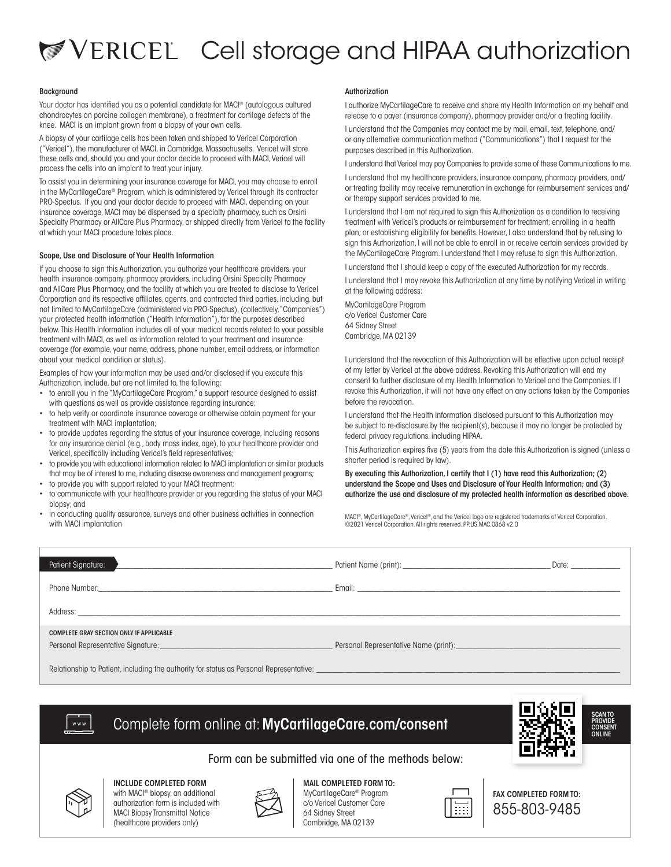# **VERICEL** Cell storage and HIPAA authorization

#### Background

Your doctor has identified you as a potential candidate for MACI® (autologous cultured chondrocytes on porcine collagen membrane), a treatment for cartilage defects of the knee. MACI is an implant grown from a biopsy of your own cells.

A biopsy of your cartilage cells has been taken and shipped to Vericel Corporation ("Vericel"), the manufacturer of MACI, in Cambridge, Massachusetts. Vericel will store these cells and, should you and your doctor decide to proceed with MACI, Vericel will process the cells into an implant to treat your injury.

To assist you in determining your insurance coverage for MACI, you may choose to enroll in the MyCartilageCare® Program, which is administered by Vericel through its contractor PRO-Spectus. If you and your doctor decide to proceed with MACI, depending on your insurance coverage, MACI may be dispensed by a specialty pharmacy, such as Orsini Specialty Pharmacy or AllCare Plus Pharmacy, or shipped directly from Vericel to the facility at which your MACI procedure takes place.

#### Scope, Use and Disclosure of Your Health Information

If you choose to sign this Authorization, you authorize your healthcare providers, your health insurance company, pharmacy providers, including Orsini Specialty Pharmacy and AllCare Plus Pharmacy, and the facility at which you are treated to disclose to Vericel Corporation and its respective affiliates, agents, and contracted third parties, including, but not limited to MyCartilageCare (administered via PRO-Spectus), (collectively, "Companies") your protected health information ("Health Information"), for the purposes described below. This Health Information includes all of your medical records related to your possible treatment with MACI, as well as information related to your treatment and insurance coverage (for example, your name, address, phone number, email address, or information about your medical condition or status).

Examples of how your information may be used and/or disclosed if you execute this Authorization, include, but are not limited to, the following:

- to enroll you in the "MyCartilageCare Program," a support resource designed to assist with questions as well as provide assistance regarding insurance;
- to help verify or coordinate insurance coverage or otherwise obtain payment for your treatment with MACI implantation;
- to provide updates regarding the status of your insurance coverage, including reasons for any insurance denial (e.g., body mass index, age), to your healthcare provider and Vericel, specifically including Vericel's field representatives;
- to provide you with educational information related to MACI implantation or similar products that may be of interest to me, including disease awareness and management programs;
- to provide you with support related to your MACI treatment;
- to communicate with your healthcare provider or you regarding the status of your MACI biopsy; and
- in conducting quality assurance, surveys and other business activities in connection with MACI implantation

#### **Authorization**

I authorize MyCartilageCare to receive and share my Health Information on my behalf and release to a payer (insurance company), pharmacy provider and/or a treating facility.

I understand that the Companies may contact me by mail, email, text, telephone, and/ or any alternative communication method ("Communications") that I request for the purposes described in this Authorization.

I understand that Vericel may pay Companies to provide some of these Communications to me.

I understand that my healthcare providers, insurance company, pharmacy providers, and/ or treating facility may receive remuneration in exchange for reimbursement services and/ or therapy support services provided to me.

I understand that I am not required to sign this Authorization as a condition to receiving treatment with Vericel's products or reimbursement for treatment; enrolling in a health plan; or establishing eligibility for benefits. However, I also understand that by refusing to sign this Authorization, I will not be able to enroll in or receive certain services provided by the MyCartilageCare Program. I understand that I may refuse to sign this Authorization.

I understand that I should keep a copy of the executed Authorization for my records.

I understand that I may revoke this Authorization at any time by notifying Vericel in writing at the following address:

MyCartilageCare Program c/o Vericel Customer Care 64 Sidney Street Cambridge, MA 02139

I understand that the revocation of this Authorization will be effective upon actual receipt of my letter by Vericel at the above address. Revoking this Authorization will end my consent to further disclosure of my Health Information to Vericel and the Companies. If I revoke this Authorization, it will not have any effect on any actions taken by the Companies before the revocation.

I understand that the Health Information disclosed pursuant to this Authorization may be subject to re-disclosure by the recipient(s), because it may no longer be protected by federal privacy regulations, including HIPAA.

This Authorization expires five (5) years from the date this Authorization is signed (unless a shorter period is required by law).

By executing this Authorization, I certify that I (1) have read this Authorization; (2) understand the Scope and Uses and Disclosure of Your Health Information; and (3) authorize the use and disclosure of my protected health information as described above.

MACI®, MyCartilageCare®, Vericel®, and the Vericel logo are registered trademarks of Vericel Corporation. ©2021 Vericel Corporation. All rights reserved. PP.US.MAC.0868 v2.0

| <b>Patient Signature:</b><br>$\mathcal{F}$ , and the set of the set of the set of the set of the set of the set of the set of the set of the set of the set of the set of the set of the set of the set of the set of the set of the set of the set of the set |                                                                                                                                                                                                                                | Date: the contract of the contract of the contract of the contract of the contract of the contract of the contract of the contract of the contract of the contract of the contract of the contract of the contract of the cont |
|----------------------------------------------------------------------------------------------------------------------------------------------------------------------------------------------------------------------------------------------------------------|--------------------------------------------------------------------------------------------------------------------------------------------------------------------------------------------------------------------------------|--------------------------------------------------------------------------------------------------------------------------------------------------------------------------------------------------------------------------------|
| Phone Number: National According to the Contract of the Contract of the Contract of the Contract of the Contract of the Contract of the Contract of the Contract of the Contract of the Contract of the Contract of the Contra                                 |                                                                                                                                                                                                                                |                                                                                                                                                                                                                                |
|                                                                                                                                                                                                                                                                |                                                                                                                                                                                                                                |                                                                                                                                                                                                                                |
| <b>COMPLETE GRAY SECTION ONLY IF APPLICABLE</b>                                                                                                                                                                                                                |                                                                                                                                                                                                                                |                                                                                                                                                                                                                                |
| Personal Representative Signature: New York Contract Contract Contract Contract Contract Contract Contract Contract Contract Contract Contract Contract Contract Contract Contract Contract Contract Contract Contract Contrac                                 | Personal Representative Name (print): Name is a series of the series of the series of the series of the series of the series of the series of the series of the series of the series of the series of the series of the series |                                                                                                                                                                                                                                |
| Relationship to Patient, including the authority for status as Personal Representative:                                                                                                                                                                        |                                                                                                                                                                                                                                |                                                                                                                                                                                                                                |







#### Form can be submitted via one of the methods below:

64 Sidney Street Cambridge, MA 02139



#### INCLUDE COMPLETED FORM

with MACI® biopsy, an additional authorization form is included with MACI Biopsy Transmittal Notice (healthcare providers only)



MAIL COMPLETED FORM TO: MyCartilageCare® Program c/o Vericel Customer Care



FAX COMPLETED FORM TO: 855-803-9485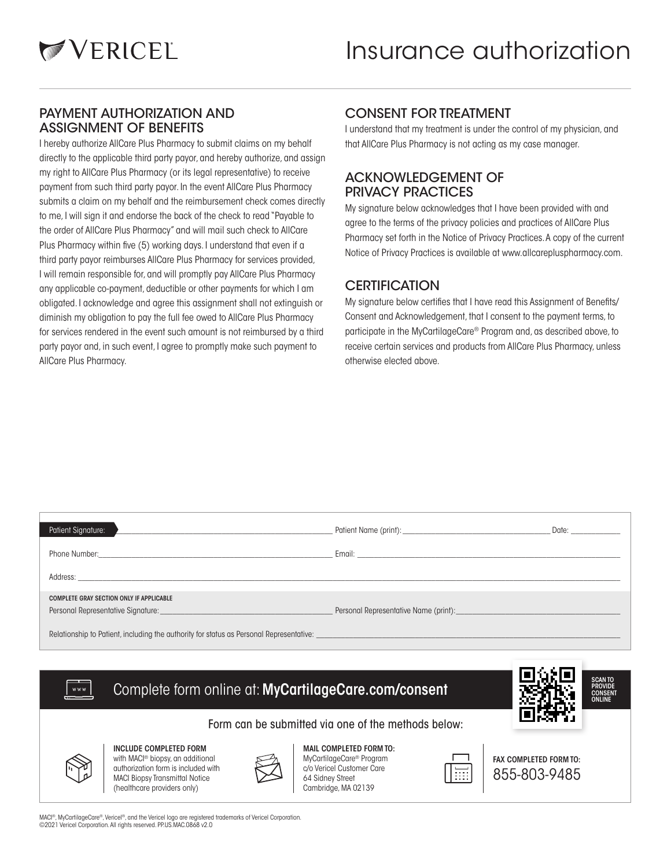## PAYMENT AUTHORIZATION AND ASSIGNMENT OF BENEFITS

I hereby authorize AllCare Plus Pharmacy to submit claims on my behalf directly to the applicable third party payor, and hereby authorize, and assign my right to AllCare Plus Pharmacy (or its legal representative) to receive payment from such third party payor. In the event AllCare Plus Pharmacy submits a claim on my behalf and the reimbursement check comes directly to me, I will sign it and endorse the back of the check to read "Payable to the order of AllCare Plus Pharmacy" and will mail such check to AllCare Plus Pharmacy within five (5) working days. I understand that even if a third party payor reimburses AllCare Plus Pharmacy for services provided, I will remain responsible for, and will promptly pay AllCare Plus Pharmacy any applicable co-payment, deductible or other payments for which I am obligated. I acknowledge and agree this assignment shall not extinguish or diminish my obligation to pay the full fee owed to AllCare Plus Pharmacy for services rendered in the event such amount is not reimbursed by a third party payor and, in such event, I agree to promptly make such payment to AllCare Plus Pharmacy.

## CONSENT FOR TREATMENT

I understand that my treatment is under the control of my physician, and that AllCare Plus Pharmacy is not acting as my case manager.

#### ACKNOWLEDGEMENT OF PRIVACY PRACTICES

My signature below acknowledges that I have been provided with and agree to the terms of the privacy policies and practices of AllCare Plus Pharmacy set forth in the Notice of Privacy Practices. A copy of the current Notice of Privacy Practices is available at www.allcarepluspharmacy.com.

#### **CERTIFICATION**

My signature below certifies that I have read this Assignment of Benefits/ Consent and Acknowledgement, that I consent to the payment terms, to participate in the MyCartilageCare® Program and, as described above, to receive certain services and products from AllCare Plus Pharmacy, unless otherwise elected above.

| Patient Signature:                                                                                                                                                                                                                                                               |                                                                                                                                                | Date: the contract of the contract of the contract of the contract of the contract of the contract of the contract of the contract of the contract of the contract of the contract of the contract of the contract of the cont |  |  |  |  |
|----------------------------------------------------------------------------------------------------------------------------------------------------------------------------------------------------------------------------------------------------------------------------------|------------------------------------------------------------------------------------------------------------------------------------------------|--------------------------------------------------------------------------------------------------------------------------------------------------------------------------------------------------------------------------------|--|--|--|--|
|                                                                                                                                                                                                                                                                                  |                                                                                                                                                |                                                                                                                                                                                                                                |  |  |  |  |
|                                                                                                                                                                                                                                                                                  |                                                                                                                                                |                                                                                                                                                                                                                                |  |  |  |  |
| <b>COMPLETE GRAY SECTION ONLY IF APPLICABLE</b><br>Relationship to Patient, including the authority for status as Personal Representative: entertainment of the content of the content of the content of the content of the content of the content of the content of the content |                                                                                                                                                |                                                                                                                                                                                                                                |  |  |  |  |
| <b>SCANTO</b><br><b>PROVIDE</b><br>Complete form online at: MyCartilageCare.com/consent<br>www<br><b>CONSENT</b><br><b>ONLINE</b>                                                                                                                                                |                                                                                                                                                |                                                                                                                                                                                                                                |  |  |  |  |
| Form can be submitted via one of the methods below:                                                                                                                                                                                                                              |                                                                                                                                                |                                                                                                                                                                                                                                |  |  |  |  |
| <b>INCLUDE COMPLETED FORM</b><br>with MACI <sup>®</sup> biopsy, an additional<br>authorization form is included with<br><b>MACI Biopsy Transmittal Notice</b><br>(healthcare providers only)                                                                                     | <b>MAIL COMPLETED FORM TO:</b><br>MyCartilageCare <sup>®</sup> Program<br>c/o Vericel Customer Care<br>64 Sidney Street<br>Cambridge, MA 02139 | <b>FAX COMPLETED FORM TO:</b><br>m<br>855-803-9485                                                                                                                                                                             |  |  |  |  |

MACl®, MyCartilageCare®, Vericel®, and the Vericel logo are registered trademarks of Vericel Corporation.<br>©2021 Vericel Corporation. All rights reserved. PP.US.MAC.0868 v2.0